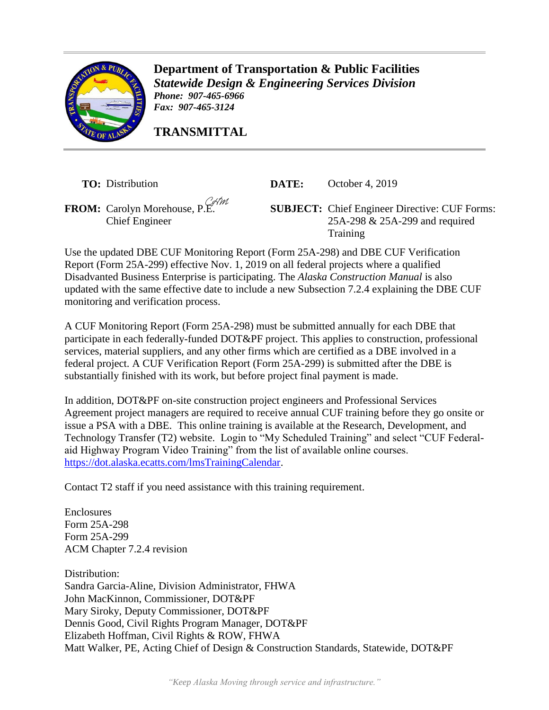

**Department of Transportation & Public Facilities** *Statewide Design & Engineering Services Division Phone: 907-465-6966 Fax: 907-465-3124*

**TRANSMITTAL**

**TO:** Distribution **DATE:** October 4, 2019

Chief Engineer

**FROM:** Carolyn Morehouse, P.E. **SUBJECT:** Chief Engineer Directive: CUF Forms: 25A-298 & 25A-299 and required **Training** 

Use the updated DBE CUF Monitoring Report (Form 25A-298) and DBE CUF Verification Report (Form 25A-299) effective Nov. 1, 2019 on all federal projects where a qualified Disadvanted Business Enterprise is participating. The *Alaska Construction Manual* is also updated with the same effective date to include a new Subsection 7.2.4 explaining the DBE CUF monitoring and verification process.

A CUF Monitoring Report (Form 25A-298) must be submitted annually for each DBE that participate in each federally-funded DOT&PF project. This applies to construction, professional services, material suppliers, and any other firms which are certified as a DBE involved in a federal project. A CUF Verification Report (Form 25A-299) is submitted after the DBE is substantially finished with its work, but before project final payment is made.

In addition, DOT&PF on-site construction project engineers and Professional Services Agreement project managers are required to receive annual CUF training before they go onsite or issue a PSA with a DBE. This online training is available at the Research, Development, and Technology Transfer (T2) website. Login to "My Scheduled Training" and select "CUF Federalaid Highway Program Video Training" from the list of available online courses. [https://dot.alaska.ecatts.com/lmsTrainingCalendar.](https://dot.alaska.ecatts.com/lmsTrainingCalendar)

Contact T2 staff if you need assistance with this training requirement.

Enclosures Form 25A-298 Form 25A-299 ACM Chapter 7.2.4 revision

Distribution: Sandra Garcia-Aline, Division Administrator, FHWA John MacKinnon, Commissioner, DOT&PF Mary Siroky, Deputy Commissioner, DOT&PF Dennis Good, Civil Rights Program Manager, DOT&PF Elizabeth Hoffman, Civil Rights & ROW, FHWA Matt Walker, PE, Acting Chief of Design & Construction Standards, Statewide, DOT&PF